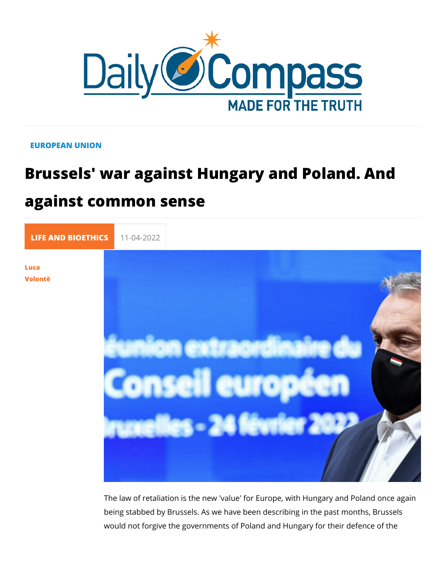## EUROPEAN UNION

## Brussels' war against Hungary and Pol against common sense

[LIFE AND BIOE](https://newdailycompass.com/en/life-and-bioethics) 11-04-2022

[Luc](/en/luca-volonte-1)a [Volon](/en/luca-volonte-1)tè

> The law of retaliation is the new 'value' for Europe, with Hung being stabbed by Brussels. As we have been describing in the would not forgive the governments of Poland and Hungary for t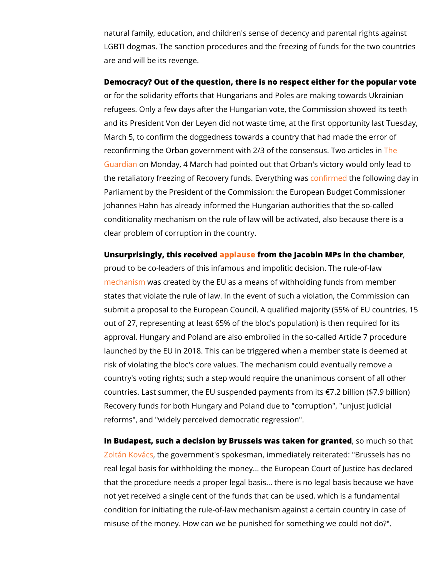natural family, education, and children's sense of decency and LGBTI dogmas. The sanction procedures and the freezing of fu are and will be its revenge.

Democracy? Out of the question, there is no respect either for or for the solidarity efforts that Hungarians and Poles are mak refugees. Only a few days after the Hungarian vote, the Comm and its President Von der Leyen did not waste time, at the firs March  $5$ , to confirm the doggedness towards a country that had re[con](https://www.theguardian.com/world/2022/apr/04/victory-of-putin-ally-orban-in-hungary-may-trigger-freeze-on-eu-funding)firming the Orban government with 2/3 of the domesensus. [Guard](https://www.theguardian.com/world/2022/apr/04/victory-of-putin-ally-orban-in-hungary-may-trigger-freeze-on-eu-funding)iam Monday, 4 March had pointed out that Orban's victor the retaliatory freezing of Recovery funnohsfirmen begin builning www.mags.day Parliament by the President of the Commission: the European Johannes Hahn has already informed the Hungarian authorities conditionality mechanism on the rule of law will be activated, clear problem of corruption in the country.

Unsurprisingly, this repplace from the Jacobin MPs in the chamb proud to be co-leaders of this infamous and impolitic decision [mechan](https://www.dw.com/en/what-impact-does-the-eus-rule-of-law-mechanism-have/a-61367149)ism as created by the EU as a means of withholding fund states that violate the rule of law. In the event of such a viola submit a proposal to the European Council. A qualified majorit out of 27, representing at least 65% of the bloc's population) approval. Hungary and Poland are also embroiled in the so-cal launched by the EU in 2018. This can be triggered when a mem risk of violating the bloc's core values. The mechanism could country's voting rights; such a step would require the unanimo countries. Last summer, the EU suspended payments from its -Recovery funds for both Hungary and Poland due to "corruption reforms", and "widely perceived democratic regression".

In Budapest, such a decision by Brussels was, taken for the solution status [Zoltán Ko](https://magyarnemzet.hu/belfold/2022/04/kovacs-zoltan-brusszelnek-nincs-jogalapja-a-penzek-visszatartasara)váhcs government's spokesman, immediately reiterated real legal basis for withholding the money... the European Cou that the procedure needs a proper legal basis... there is no le not yet received a single cent of the funds that can be used, v condition for initiating the rule-of-law mechanism against a ce misuse of the money. How can we be punished for something w